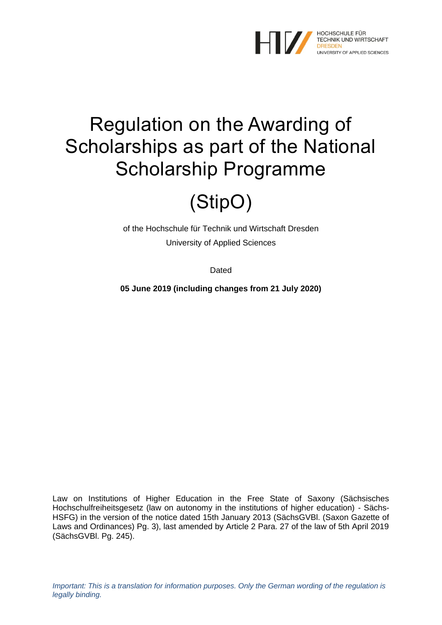

# Regulation on the Awarding of Scholarships as part of the National Scholarship Programme

# (StipO)

of the Hochschule für Technik und Wirtschaft Dresden University of Applied Sciences

Dated

**05 June 2019 (including changes from 21 July 2020)**

Law on Institutions of Higher Education in the Free State of Saxony (Sächsisches Hochschulfreiheitsgesetz (law on autonomy in the institutions of higher education) - Sächs-HSFG) in the version of the notice dated 15th January 2013 (SächsGVBl. (Saxon Gazette of Laws and Ordinances) Pg. 3), last amended by Article 2 Para. 27 of the law of 5th April 2019 (SächsGVBl. Pg. 245).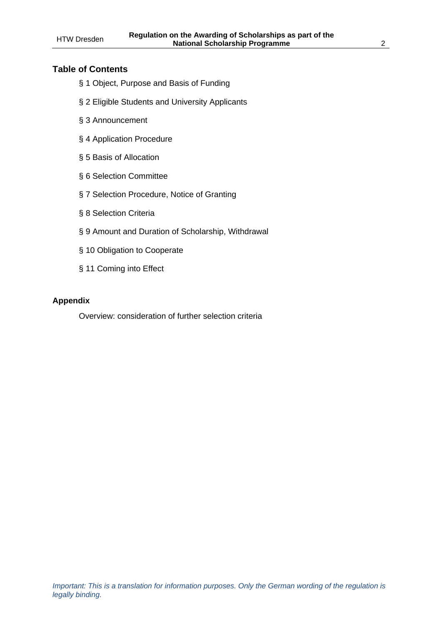#### **Table of Contents**

- § 1 Object, Purpose and Basis of Funding
- § 2 Eligible Students and University Applicants
- § 3 Announcement
- § 4 Application Procedure
- § 5 Basis of Allocation
- § 6 Selection Committee
- § 7 Selection Procedure, Notice of Granting
- § 8 Selection Criteria
- § 9 Amount and Duration of Scholarship, Withdrawal
- § 10 Obligation to Cooperate
- § 11 Coming into Effect

#### **Appendix**

Overview: consideration of further selection criteria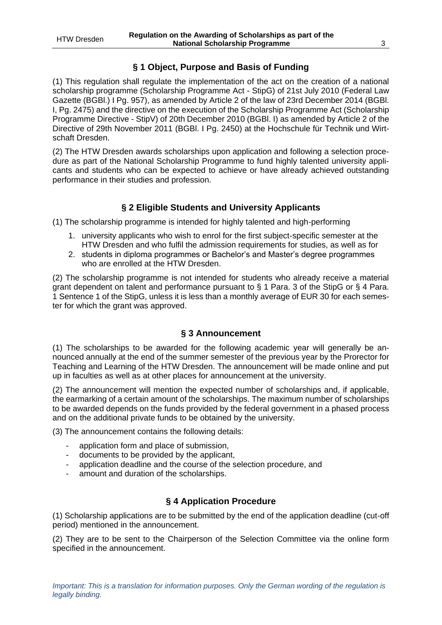# **§ 1 Object, Purpose and Basis of Funding**

(1) This regulation shall regulate the implementation of the act on the creation of a national scholarship programme (Scholarship Programme Act - StipG) of 21st July 2010 (Federal Law Gazette (BGBl.) I Pg. 957), as amended by Article 2 of the law of 23rd December 2014 (BGBl. I, Pg. 2475) and the directive on the execution of the Scholarship Programme Act (Scholarship Programme Directive - StipV) of 20th December 2010 (BGBl. I) as amended by Article 2 of the Directive of 29th November 2011 (BGBl. I Pg. 2450) at the Hochschule für Technik und Wirtschaft Dresden.

(2) The HTW Dresden awards scholarships upon application and following a selection procedure as part of the National Scholarship Programme to fund highly talented university applicants and students who can be expected to achieve or have already achieved outstanding performance in their studies and profession.

#### **§ 2 Eligible Students and University Applicants**

(1) The scholarship programme is intended for highly talented and high-performing

- 1. university applicants who wish to enrol for the first subject-specific semester at the HTW Dresden and who fulfil the admission requirements for studies, as well as for
- 2. students in diploma programmes or Bachelor's and Master's degree programmes who are enrolled at the HTW Dresden.

(2) The scholarship programme is not intended for students who already receive a material grant dependent on talent and performance pursuant to § 1 Para. 3 of the StipG or § 4 Para. 1 Sentence 1 of the StipG, unless it is less than a monthly average of EUR 30 for each semester for which the grant was approved.

#### **§ 3 Announcement**

(1) The scholarships to be awarded for the following academic year will generally be announced annually at the end of the summer semester of the previous year by the Prorector for Teaching and Learning of the HTW Dresden. The announcement will be made online and put up in faculties as well as at other places for announcement at the university.

(2) The announcement will mention the expected number of scholarships and, if applicable, the earmarking of a certain amount of the scholarships. The maximum number of scholarships to be awarded depends on the funds provided by the federal government in a phased process and on the additional private funds to be obtained by the university.

(3) The announcement contains the following details:

- application form and place of submission.
- documents to be provided by the applicant,
- application deadline and the course of the selection procedure, and
- amount and duration of the scholarships.

#### **§ 4 Application Procedure**

(1) Scholarship applications are to be submitted by the end of the application deadline (cut-off period) mentioned in the announcement.

(2) They are to be sent to the Chairperson of the Selection Committee via the online form specified in the announcement.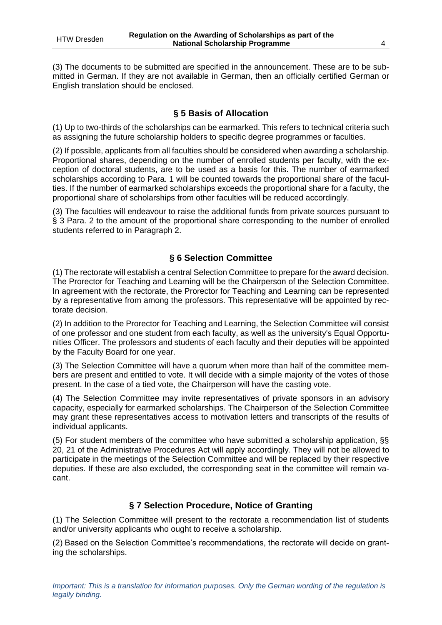(3) The documents to be submitted are specified in the announcement. These are to be submitted in German. If they are not available in German, then an officially certified German or English translation should be enclosed.

# **§ 5 Basis of Allocation**

(1) Up to two-thirds of the scholarships can be earmarked. This refers to technical criteria such as assigning the future scholarship holders to specific degree programmes or faculties.

(2) If possible, applicants from all faculties should be considered when awarding a scholarship. Proportional shares, depending on the number of enrolled students per faculty, with the exception of doctoral students, are to be used as a basis for this. The number of earmarked scholarships according to Para. 1 will be counted towards the proportional share of the faculties. If the number of earmarked scholarships exceeds the proportional share for a faculty, the proportional share of scholarships from other faculties will be reduced accordingly.

(3) The faculties will endeavour to raise the additional funds from private sources pursuant to § 3 Para. 2 to the amount of the proportional share corresponding to the number of enrolled students referred to in Paragraph 2.

# **§ 6 Selection Committee**

(1) The rectorate will establish a central Selection Committee to prepare for the award decision. The Prorector for Teaching and Learning will be the Chairperson of the Selection Committee. In agreement with the rectorate, the Prorector for Teaching and Learning can be represented by a representative from among the professors. This representative will be appointed by rectorate decision.

(2) In addition to the Prorector for Teaching and Learning, the Selection Committee will consist of one professor and one student from each faculty, as well as the university's Equal Opportunities Officer. The professors and students of each faculty and their deputies will be appointed by the Faculty Board for one year.

(3) The Selection Committee will have a quorum when more than half of the committee members are present and entitled to vote. It will decide with a simple majority of the votes of those present. In the case of a tied vote, the Chairperson will have the casting vote.

(4) The Selection Committee may invite representatives of private sponsors in an advisory capacity, especially for earmarked scholarships. The Chairperson of the Selection Committee may grant these representatives access to motivation letters and transcripts of the results of individual applicants.

(5) For student members of the committee who have submitted a scholarship application, §§ 20, 21 of the Administrative Procedures Act will apply accordingly. They will not be allowed to participate in the meetings of the Selection Committee and will be replaced by their respective deputies. If these are also excluded, the corresponding seat in the committee will remain vacant.

# **§ 7 Selection Procedure, Notice of Granting**

(1) The Selection Committee will present to the rectorate a recommendation list of students and/or university applicants who ought to receive a scholarship.

(2) Based on the Selection Committee's recommendations, the rectorate will decide on granting the scholarships.

*legally binding.*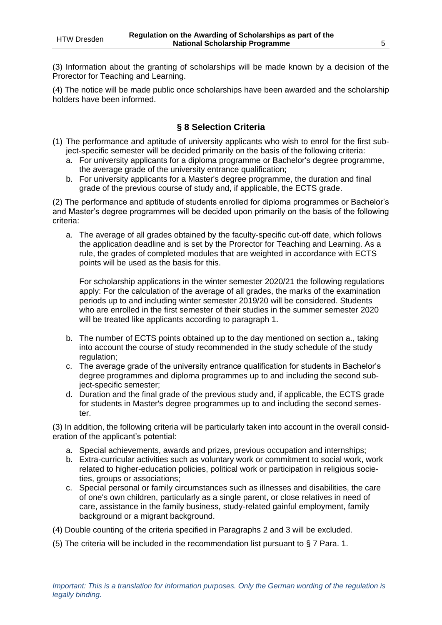(3) Information about the granting of scholarships will be made known by a decision of the Prorector for Teaching and Learning.

(4) The notice will be made public once scholarships have been awarded and the scholarship holders have been informed.

# **§ 8 Selection Criteria**

- (1) The performance and aptitude of university applicants who wish to enrol for the first subject-specific semester will be decided primarily on the basis of the following criteria:
	- a. For university applicants for a diploma programme or Bachelor's degree programme, the average grade of the university entrance qualification;
	- b. For university applicants for a Master's degree programme, the duration and final grade of the previous course of study and, if applicable, the ECTS grade.

(2) The performance and aptitude of students enrolled for diploma programmes or Bachelor's and Master's degree programmes will be decided upon primarily on the basis of the following criteria:

a. The average of all grades obtained by the faculty-specific cut-off date, which follows the application deadline and is set by the Prorector for Teaching and Learning. As a rule, the grades of completed modules that are weighted in accordance with ECTS points will be used as the basis for this.

For scholarship applications in the winter semester 2020/21 the following regulations apply: For the calculation of the average of all grades, the marks of the examination periods up to and including winter semester 2019/20 will be considered. Students who are enrolled in the first semester of their studies in the summer semester 2020 will be treated like applicants according to paragraph 1.

- b. The number of ECTS points obtained up to the day mentioned on section a., taking into account the course of study recommended in the study schedule of the study regulation;
- c. The average grade of the university entrance qualification for students in Bachelor's degree programmes and diploma programmes up to and including the second subject-specific semester;
- d. Duration and the final grade of the previous study and, if applicable, the ECTS grade for students in Master's degree programmes up to and including the second semester.

(3) In addition, the following criteria will be particularly taken into account in the overall consideration of the applicant's potential:

- a. Special achievements, awards and prizes, previous occupation and internships;
- b. Extra-curricular activities such as voluntary work or commitment to social work, work related to higher-education policies, political work or participation in religious societies, groups or associations;
- c. Special personal or family circumstances such as illnesses and disabilities, the care of one's own children, particularly as a single parent, or close relatives in need of care, assistance in the family business, study-related gainful employment, family background or a migrant background.
- (4) Double counting of the criteria specified in Paragraphs 2 and 3 will be excluded.
- (5) The criteria will be included in the recommendation list pursuant to § 7 Para. 1.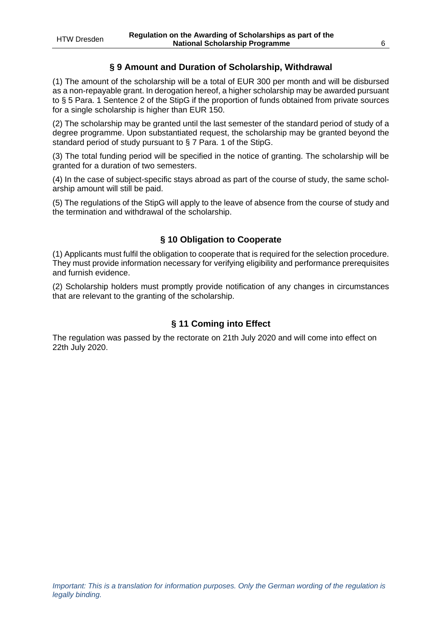# **§ 9 Amount and Duration of Scholarship, Withdrawal**

(1) The amount of the scholarship will be a total of EUR 300 per month and will be disbursed as a non-repayable grant. In derogation hereof, a higher scholarship may be awarded pursuant to § 5 Para. 1 Sentence 2 of the StipG if the proportion of funds obtained from private sources for a single scholarship is higher than EUR 150.

(2) The scholarship may be granted until the last semester of the standard period of study of a degree programme. Upon substantiated request, the scholarship may be granted beyond the standard period of study pursuant to § 7 Para. 1 of the StipG.

(3) The total funding period will be specified in the notice of granting. The scholarship will be granted for a duration of two semesters.

(4) In the case of subject-specific stays abroad as part of the course of study, the same scholarship amount will still be paid.

(5) The regulations of the StipG will apply to the leave of absence from the course of study and the termination and withdrawal of the scholarship.

# **§ 10 Obligation to Cooperate**

(1) Applicants must fulfil the obligation to cooperate that is required for the selection procedure. They must provide information necessary for verifying eligibility and performance prerequisites and furnish evidence.

(2) Scholarship holders must promptly provide notification of any changes in circumstances that are relevant to the granting of the scholarship.

# **§ 11 Coming into Effect**

The regulation was passed by the rectorate on 21th July 2020 and will come into effect on 22th July 2020.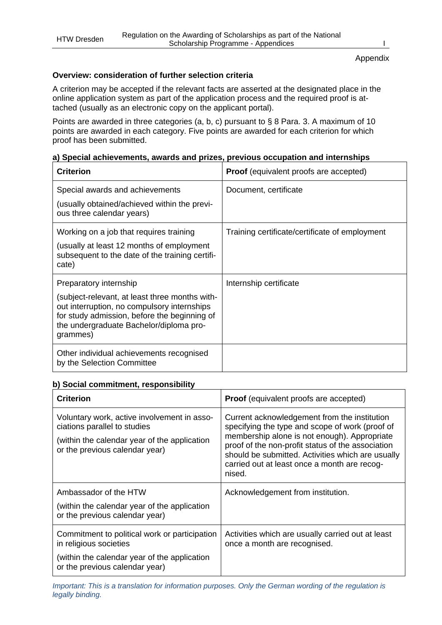#### Appendix

#### **Overview: consideration of further selection criteria**

A criterion may be accepted if the relevant facts are asserted at the designated place in the online application system as part of the application process and the required proof is attached (usually as an electronic copy on the applicant portal).

Points are awarded in three categories (a, b, c) pursuant to § 8 Para. 3. A maximum of 10 points are awarded in each category. Five points are awarded for each criterion for which proof has been submitted.

#### **a) Special achievements, awards and prizes, previous occupation and internships**

| <b>Criterion</b>                                                                                                                                                                                     | <b>Proof</b> (equivalent proofs are accepted)  |
|------------------------------------------------------------------------------------------------------------------------------------------------------------------------------------------------------|------------------------------------------------|
| Special awards and achievements                                                                                                                                                                      | Document, certificate                          |
| (usually obtained/achieved within the previ-<br>ous three calendar years)                                                                                                                            |                                                |
| Working on a job that requires training<br>(usually at least 12 months of employment                                                                                                                 | Training certificate/certificate of employment |
| subsequent to the date of the training certifi-<br>cate)                                                                                                                                             |                                                |
| Preparatory internship                                                                                                                                                                               | Internship certificate                         |
| (subject-relevant, at least three months with-<br>out interruption, no compulsory internships<br>for study admission, before the beginning of<br>the undergraduate Bachelor/diploma pro-<br>grammes) |                                                |
| Other individual achievements recognised<br>by the Selection Committee                                                                                                                               |                                                |

#### **b) Social commitment, responsibility**

| <b>Criterion</b>                                                                                                                                              | <b>Proof</b> (equivalent proofs are accepted)                                                                                                                                                                                                                                                                       |
|---------------------------------------------------------------------------------------------------------------------------------------------------------------|---------------------------------------------------------------------------------------------------------------------------------------------------------------------------------------------------------------------------------------------------------------------------------------------------------------------|
| Voluntary work, active involvement in asso-<br>ciations parallel to studies<br>(within the calendar year of the application<br>or the previous calendar year) | Current acknowledgement from the institution<br>specifying the type and scope of work (proof of<br>membership alone is not enough). Appropriate<br>proof of the non-profit status of the association<br>should be submitted. Activities which are usually<br>carried out at least once a month are recog-<br>nised. |
| Ambassador of the HTW<br>(within the calendar year of the application<br>or the previous calendar year)                                                       | Acknowledgement from institution.                                                                                                                                                                                                                                                                                   |
| Commitment to political work or participation<br>in religious societies<br>(within the calendar year of the application<br>or the previous calendar year)     | Activities which are usually carried out at least<br>once a month are recognised.                                                                                                                                                                                                                                   |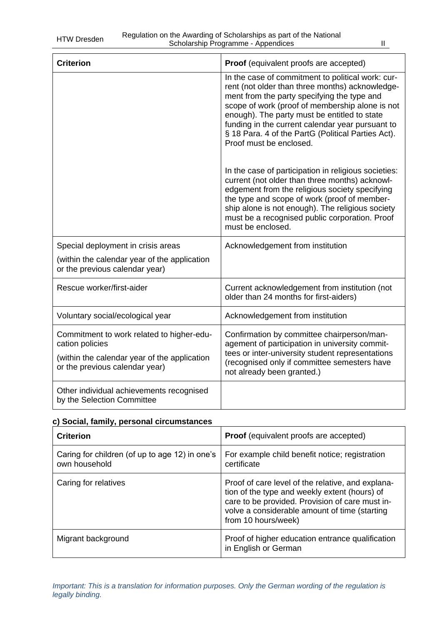| <b>Criterion</b>                                                                                                                               | Proof (equivalent proofs are accepted)                                                                                                                                                                                                                                                                                                                                                      |
|------------------------------------------------------------------------------------------------------------------------------------------------|---------------------------------------------------------------------------------------------------------------------------------------------------------------------------------------------------------------------------------------------------------------------------------------------------------------------------------------------------------------------------------------------|
|                                                                                                                                                | In the case of commitment to political work: cur-<br>rent (not older than three months) acknowledge-<br>ment from the party specifying the type and<br>scope of work (proof of membership alone is not<br>enough). The party must be entitled to state<br>funding in the current calendar year pursuant to<br>§ 18 Para. 4 of the PartG (Political Parties Act).<br>Proof must be enclosed. |
|                                                                                                                                                | In the case of participation in religious societies:<br>current (not older than three months) acknowl-<br>edgement from the religious society specifying<br>the type and scope of work (proof of member-<br>ship alone is not enough). The religious society<br>must be a recognised public corporation. Proof<br>must be enclosed.                                                         |
| Special deployment in crisis areas<br>(within the calendar year of the application<br>or the previous calendar year)                           | Acknowledgement from institution                                                                                                                                                                                                                                                                                                                                                            |
| Rescue worker/first-aider                                                                                                                      | Current acknowledgement from institution (not<br>older than 24 months for first-aiders)                                                                                                                                                                                                                                                                                                     |
| Voluntary social/ecological year                                                                                                               | Acknowledgement from institution                                                                                                                                                                                                                                                                                                                                                            |
| Commitment to work related to higher-edu-<br>cation policies<br>(within the calendar year of the application<br>or the previous calendar year) | Confirmation by committee chairperson/man-<br>agement of participation in university commit-<br>tees or inter-university student representations<br>(recognised only if committee semesters have<br>not already been granted.)                                                                                                                                                              |
| Other individual achievements recognised<br>by the Selection Committee                                                                         |                                                                                                                                                                                                                                                                                                                                                                                             |

# **c) Social, family, personal circumstances**

| <b>Criterion</b>                                                | <b>Proof</b> (equivalent proofs are accepted)                                                                                                                                                                                 |
|-----------------------------------------------------------------|-------------------------------------------------------------------------------------------------------------------------------------------------------------------------------------------------------------------------------|
| Caring for children (of up to age 12) in one's<br>own household | For example child benefit notice; registration<br>certificate                                                                                                                                                                 |
| Caring for relatives                                            | Proof of care level of the relative, and explana-<br>tion of the type and weekly extent (hours) of<br>care to be provided. Provision of care must in-<br>volve a considerable amount of time (starting<br>from 10 hours/week) |
| Migrant background                                              | Proof of higher education entrance qualification<br>in English or German                                                                                                                                                      |